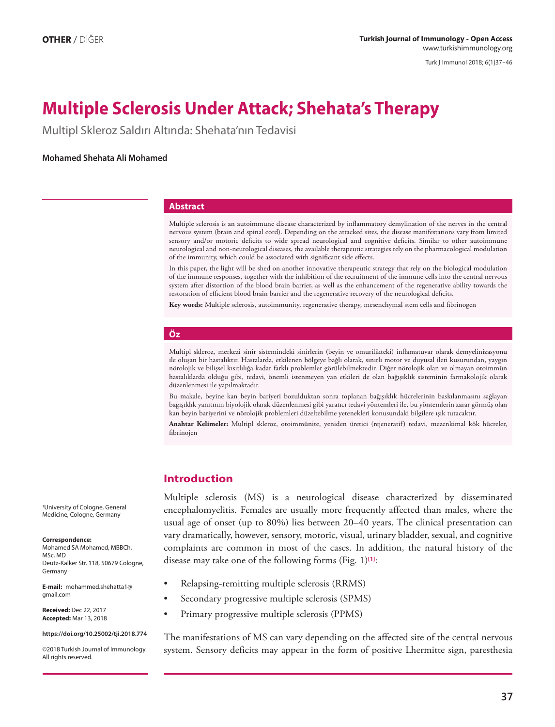Turk J Immunol 2018; 6(1)37−46

# **Multiple Sclerosis Under Attack; Shehata's Therapy**

Multipl Skleroz Saldırı Altında: Shehata'nın Tedavisi

## **Mohamed Shehata Ali Mohamed**

### **Abstract**

Multiple sclerosis is an autoimmune disease characterized by inflammatory demylination of the nerves in the central nervous system (brain and spinal cord). Depending on the attacked sites, the disease manifestations vary from limited sensory and/or motoric deficits to wide spread neurological and cognitive deficits. Similar to other autoimmune neurological and non-neurological diseases, the available therapeutic strategies rely on the pharmacological modulation of the immunity, which could be associated with significant side effects.

In this paper, the light will be shed on another innovative therapeutic strategy that rely on the biological modulation of the immune responses, together with the inhibition of the recruitment of the immune cells into the central nervous system after distortion of the blood brain barrier, as well as the enhancement of the regenerative ability towards the restoration of efficient blood brain barrier and the regenerative recovery of the neurological deficits.

**Key words:** Multiple sclerosis, autoimmunity, regenerative therapy, mesenchymal stem cells and fibrinogen

## **Öz**

Multipl skleroz, merkezi sinir sistemindeki sinirlerin (beyin ve omurilikteki) inflamatuvar olarak demyelinizasyonu ile oluşan bir hastalıktır. Hastalarda, etkilenen bölgeye bağlı olarak, sınırlı motor ve duyusal ileti kusurundan, yaygın nörolojik ve bilişsel kısıtlılığa kadar farklı problemler görülebilmektedir. Diğer nörolojik olan ve olmayan otoimmün hastalıklarda olduğu gibi, tedavi, önemli istenmeyen yan etkileri de olan bağışıklık sisteminin farmakolojik olarak düzenlenmesi ile yapılmaktadır.

Bu makale, beyine kan beyin bariyeri bozulduktan sonra toplanan bağışıklık hücrelerinin baskılanmasını sağlayan bağışıklık yanıtının biyolojik olarak düzenlenmesi gibi yaratıcı tedavi yöntemleri ile, bu yöntemlerin zarar görmüş olan kan beyin bariyerini ve nörolojik problemleri düzeltebilme yetenekleri konusundaki bilgilere ışık tutacaktır.

**Anahtar Kelimeler:** Multipl skleroz, otoimmünite, yeniden üretici (rejeneratif) tedavi, mezenkimal kök hücreler, fibrinojen

## **Introduction**

Multiple sclerosis (MS) is a neurological disease characterized by disseminated encephalomyelitis. Females are usually more frequently affected than males, where the usual age of onset (up to 80%) lies between 20–40 years. The clinical presentation can vary dramatically, however, sensory, motoric, visual, urinary bladder, sexual, and cognitive complaints are common in most of the cases. In addition, the natural history of the disease may take one of the following forms (Fig. 1)**[1]**:

- Relapsing-remitting multiple sclerosis (RRMS)
- Secondary progressive multiple sclerosis (SPMS)
- Primary progressive multiple sclerosis (PPMS)

The manifestations of MS can vary depending on the affected site of the central nervous system. Sensory deficits may appear in the form of positive Lhermitte sign, paresthesia

1University of Cologne, General Medicine, Cologne, Germany

#### **Correspondence:**

Mohamed SA Mohamed, MBBCh, MSc, MD Deutz-Kalker Str. 118, 50679 Cologne, Germany

**E-mail:** mohammed.shehatta1@ gmail.com

**Received:** Dec 22, 2017 **Accepted:** Mar 13, 2018

#### **https://doi.org/10.25002/tji.2018.774**

©2018 Turkish Journal of Immunology. All rights reserved.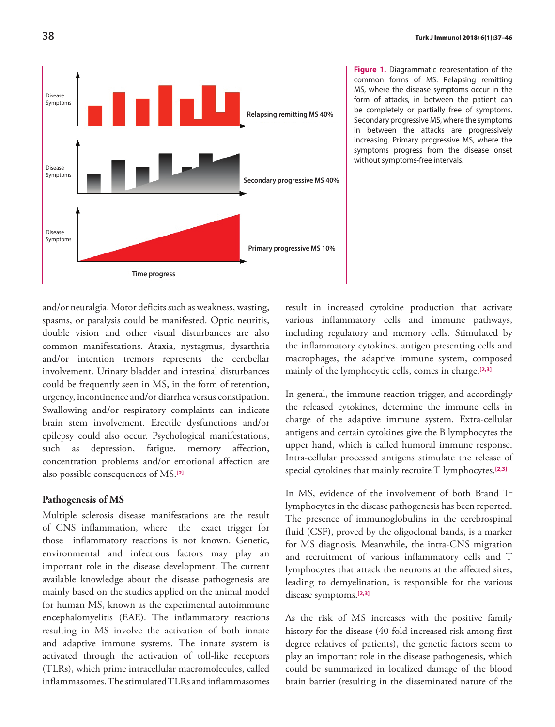

**Figure 1.** Diagrammatic representation of the common forms of MS. Relapsing remitting MS, where the disease symptoms occur in the form of attacks, in between the patient can be completely or partially free of symptoms. Secondary progressive MS, where the symptoms in between the attacks are progressively increasing. Primary progressive MS, where the symptoms progress from the disease onset without symptoms-free intervals.

and/or neuralgia. Motor deficits such as weakness, wasting, spasms, or paralysis could be manifested. Optic neuritis, double vision and other visual disturbances are also common manifestations. Ataxia, nystagmus, dysarthria and/or intention tremors represents the cerebellar involvement. Urinary bladder and intestinal disturbances could be frequently seen in MS, in the form of retention, urgency, incontinence and/or diarrhea versus constipation. Swallowing and/or respiratory complaints can indicate brain stem involvement. Erectile dysfunctions and/or epilepsy could also occur. Psychological manifestations, such as depression, fatigue, memory affection, concentration problems and/or emotional affection are also possible consequences of MS.**[2]**

# **Pathogenesis of MS**

Multiple sclerosis disease manifestations are the result of CNS inflammation, where the exact trigger for those inflammatory reactions is not known. Genetic, environmental and infectious factors may play an important role in the disease development. The current available knowledge about the disease pathogenesis are mainly based on the studies applied on the animal model for human MS, known as the experimental autoimmune encephalomyelitis (EAE). The inflammatory reactions resulting in MS involve the activation of both innate and adaptive immune systems. The innate system is activated through the activation of toll-like receptors (TLRs), which prime intracellular macromolecules, called inflammasomes. The stimulated TLRs and inflammasomes

result in increased cytokine production that activate various inflammatory cells and immune pathways, including regulatory and memory cells. Stimulated by the inflammatory cytokines, antigen presenting cells and macrophages, the adaptive immune system, composed mainly of the lymphocytic cells, comes in charge.**[2,3]**

In general, the immune reaction trigger, and accordingly the released cytokines, determine the immune cells in charge of the adaptive immune system. Extra-cellular antigens and certain cytokines give the B lymphocytes the upper hand, which is called humoral immune response. Intra-cellular processed antigens stimulate the release of special cytokines that mainly recruite T lymphocytes.**[2,3]**

In MS, evidence of the involvement of both B–and T– lymphocytes in the disease pathogenesis has been reported. The presence of immunoglobulins in the cerebrospinal fluid (CSF), proved by the oligoclonal bands, is a marker for MS diagnosis. Meanwhile, the intra-CNS migration and recruitment of various inflammatory cells and T lymphocytes that attack the neurons at the affected sites, leading to demyelination, is responsible for the various disease symptoms.**[2,3]**

As the risk of MS increases with the positive family history for the disease (40 fold increased risk among first degree relatives of patients), the genetic factors seem to play an important role in the disease pathogenesis, which could be summarized in localized damage of the blood brain barrier (resulting in the disseminated nature of the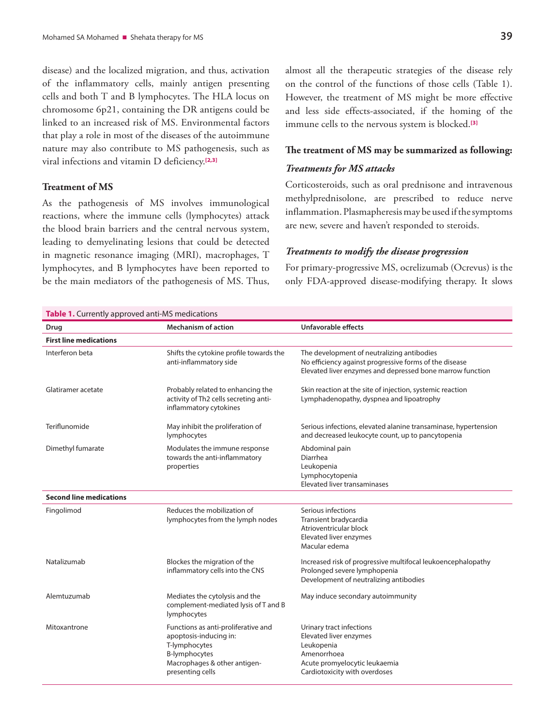disease) and the localized migration, and thus, activation of the inflammatory cells, mainly antigen presenting cells and both T and B lymphocytes. The HLA locus on chromosome 6p21, containing the DR antigens could be linked to an increased risk of MS. Environmental factors that play a role in most of the diseases of the autoimmune nature may also contribute to MS pathogenesis, such as viral infections and vitamin D deficiency.**[2,3]**

## **Treatment of MS**

As the pathogenesis of MS involves immunological reactions, where the immune cells (lymphocytes) attack the blood brain barriers and the central nervous system, leading to demyelinating lesions that could be detected in magnetic resonance imaging (MRI), macrophages, T lymphocytes, and B lymphocytes have been reported to be the main mediators of the pathogenesis of MS. Thus, almost all the therapeutic strategies of the disease rely on the control of the functions of those cells (Table 1). However, the treatment of MS might be more effective and less side effects-associated, if the homing of the immune cells to the nervous system is blocked.**[3]**

## **The treatment of MS may be summarized as following:**

## *Treatments for MS attacks*

Corticosteroids, such as oral prednisone and intravenous methylprednisolone, are prescribed to reduce nerve inflammation. Plasmapheresis may be used if the symptoms are new, severe and haven't responded to steroids.

### *Treatments to modify the disease progression*

For primary-progressive MS, ocrelizumab (Ocrevus) is the only FDA-approved disease-modifying therapy. It slows

| <b>Table 1.</b> Currently approved anti-MS medications |                                                                                                                                                            |                                                                                                                                                                   |
|--------------------------------------------------------|------------------------------------------------------------------------------------------------------------------------------------------------------------|-------------------------------------------------------------------------------------------------------------------------------------------------------------------|
| Drug                                                   | <b>Mechanism of action</b>                                                                                                                                 | Unfavorable effects                                                                                                                                               |
| <b>First line medications</b>                          |                                                                                                                                                            |                                                                                                                                                                   |
| Interferon beta                                        | Shifts the cytokine profile towards the<br>anti-inflammatory side                                                                                          | The development of neutralizing antibodies<br>No efficiency against progressive forms of the disease<br>Elevated liver enzymes and depressed bone marrow function |
| Glatiramer acetate                                     | Probably related to enhancing the<br>activity of Th2 cells secreting anti-<br>inflammatory cytokines                                                       | Skin reaction at the site of injection, systemic reaction<br>Lymphadenopathy, dyspnea and lipoatrophy                                                             |
| Teriflunomide                                          | May inhibit the proliferation of<br>lymphocytes                                                                                                            | Serious infections, elevated alanine transaminase, hypertension<br>and decreased leukocyte count, up to pancytopenia                                              |
| Dimethyl fumarate                                      | Modulates the immune response<br>towards the anti-inflammatory<br>properties                                                                               | Abdominal pain<br>Diarrhea<br>Leukopenia<br>Lymphocytopenia<br>Elevated liver transaminases                                                                       |
| <b>Second line medications</b>                         |                                                                                                                                                            |                                                                                                                                                                   |
| Fingolimod                                             | Reduces the mobilization of<br>lymphocytes from the lymph nodes                                                                                            | Serious infections<br>Transient bradycardia<br>Atrioventricular block<br>Elevated liver enzymes<br>Macular edema                                                  |
| Natalizumab                                            | Blockes the migration of the<br>inflammatory cells into the CNS                                                                                            | Increased risk of progressive multifocal leukoencephalopathy<br>Prolonged severe lymphopenia<br>Development of neutralizing antibodies                            |
| Alemtuzumab                                            | Mediates the cytolysis and the<br>complement-mediated lysis of T and B<br>lymphocytes                                                                      | May induce secondary autoimmunity                                                                                                                                 |
| Mitoxantrone                                           | Functions as anti-proliferative and<br>apoptosis-inducing in:<br>T-lymphocytes<br><b>B-lymphocytes</b><br>Macrophages & other antigen-<br>presenting cells | Urinary tract infections<br>Elevated liver enzymes<br>Leukopenia<br>Amenorrhoea<br>Acute promyelocytic leukaemia<br>Cardiotoxicity with overdoses                 |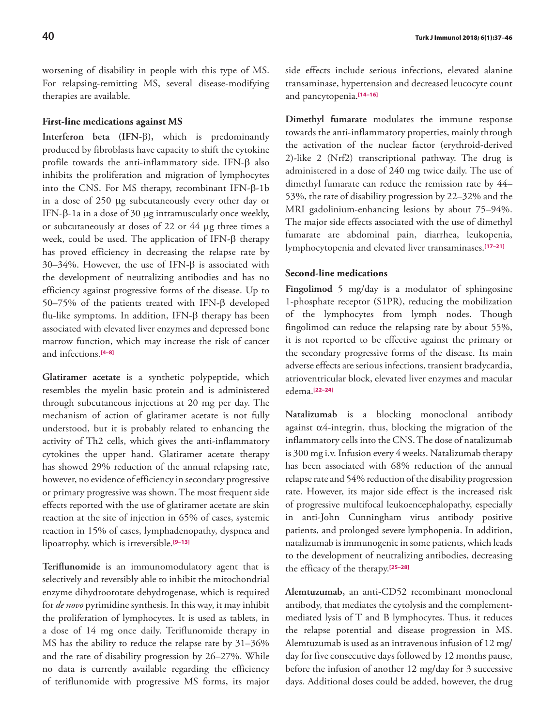worsening of disability in people with this type of MS. For relapsing-remitting MS, several disease-modifying therapies are available.

### **First-line medications against MS**

**Interferon beta (IFN-**β**),** which is predominantly produced by fibroblasts have capacity to shift the cytokine profile towards the anti-inflammatory side. IFN-β also inhibits the proliferation and migration of lymphocytes into the CNS. For MS therapy, recombinant IFN-β-1b in a dose of 250 μg subcutaneously every other day or IFN-β-1a in a dose of 30 μg intramuscularly once weekly, or subcutaneously at doses of 22 or 44 μg three times a week, could be used. The application of IFN-β therapy has proved efficiency in decreasing the relapse rate by 30–34%. However, the use of IFN-β is associated with the development of neutralizing antibodies and has no efficiency against progressive forms of the disease. Up to 50–75% of the patients treated with IFN-β developed flu-like symptoms. In addition, IFN-β therapy has been associated with elevated liver enzymes and depressed bone marrow function, which may increase the risk of cancer and infections.**[4–8]**

**Glatiramer acetate** is a synthetic polypeptide, which resembles the myelin basic protein and is administered through subcutaneous injections at 20 mg per day. The mechanism of action of glatiramer acetate is not fully understood, but it is probably related to enhancing the activity of Th2 cells, which gives the anti-inflammatory cytokines the upper hand. Glatiramer acetate therapy has showed 29% reduction of the annual relapsing rate, however, no evidence of efficiency in secondary progressive or primary progressive was shown. The most frequent side effects reported with the use of glatiramer acetate are skin reaction at the site of injection in 65% of cases, systemic reaction in 15% of cases, lymphadenopathy, dyspnea and lipoatrophy, which is irreversible.**[9–13]**

**Teriflunomide** is an immunomodulatory agent that is selectively and reversibly able to inhibit the mitochondrial enzyme dihydroorotate dehydrogenase, which is required for *de novo* pyrimidine synthesis. In this way, it may inhibit the proliferation of lymphocytes. It is used as tablets, in a dose of 14 mg once daily. Teriflunomide therapy in MS has the ability to reduce the relapse rate by 31–36% and the rate of disability progression by 26–27%. While no data is currently available regarding the efficiency of teriflunomide with progressive MS forms, its major side effects include serious infections, elevated alanine transaminase, hypertension and decreased leucocyte count and pancytopenia.**[14–16]**

**Dimethyl fumarate** modulates the immune response towards the anti-inflammatory properties, mainly through the activation of the nuclear factor (erythroid-derived 2)-like 2 (Nrf2) transcriptional pathway. The drug is administered in a dose of 240 mg twice daily. The use of dimethyl fumarate can reduce the remission rate by 44– 53%, the rate of disability progression by 22–32% and the MRI gadolinium-enhancing lesions by about 75–94%. The major side effects associated with the use of dimethyl fumarate are abdominal pain, diarrhea, leukopenia, lymphocytopenia and elevated liver transaminases.**[17–21]**

## **Second-line medications**

**Fingolimod** 5 mg/day is a modulator of sphingosine 1-phosphate receptor (S1PR), reducing the mobilization of the lymphocytes from lymph nodes. Though fingolimod can reduce the relapsing rate by about 55%, it is not reported to be effective against the primary or the secondary progressive forms of the disease. Its main adverse effects are serious infections, transient bradycardia, atrioventricular block, elevated liver enzymes and macular edema.**[22–24]**

**Natalizumab** is a blocking monoclonal antibody against  $\alpha$ 4-integrin, thus, blocking the migration of the inflammatory cells into the CNS. The dose of natalizumab is 300 mg i.v. Infusion every 4 weeks. Natalizumab therapy has been associated with 68% reduction of the annual relapse rate and 54% reduction of the disability progression rate. However, its major side effect is the increased risk of progressive multifocal leukoencephalopathy, especially in anti-John Cunningham virus antibody positive patients, and prolonged severe lymphopenia. In addition, natalizumab is immunogenic in some patients, which leads to the development of neutralizing antibodies, decreasing the efficacy of the therapy.**[25–28]**

**Alemtuzumab,** an anti-CD52 recombinant monoclonal antibody, that mediates the cytolysis and the complementmediated lysis of T and B lymphocytes. Thus, it reduces the relapse potential and disease progression in MS. Alemtuzumab is used as an intravenous infusion of 12 mg/ day for five consecutive days followed by 12 months pause, before the infusion of another 12 mg/day for 3 successive days. Additional doses could be added, however, the drug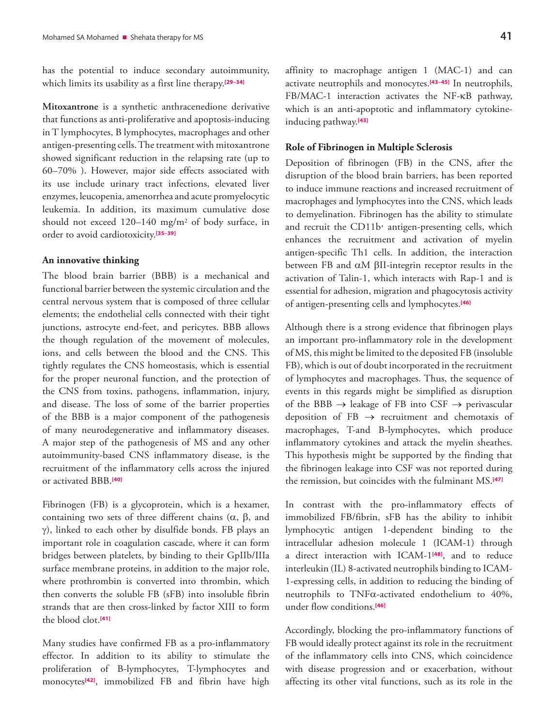has the potential to induce secondary autoimmunity, which limits its usability as a first line therapy.**[29–34]**

**Mitoxantrone** is a synthetic anthracenedione derivative that functions as anti-proliferative and apoptosis-inducing in T lymphocytes, B lymphocytes, macrophages and other antigen-presenting cells. The treatment with mitoxantrone showed significant reduction in the relapsing rate (up to 60–70% ). However, major side effects associated with its use include urinary tract infections, elevated liver enzymes, leucopenia, amenorrhea and acute promyelocytic leukemia. In addition, its maximum cumulative dose should not exceed 120–140 mg/m2 of body surface, in order to avoid cardiotoxicity.**[35–39]**

#### **An innovative thinking**

The blood brain barrier (BBB) is a mechanical and functional barrier between the systemic circulation and the central nervous system that is composed of three cellular elements; the endothelial cells connected with their tight junctions, astrocyte end-feet, and pericytes. BBB allows the though regulation of the movement of molecules, ions, and cells between the blood and the CNS. This tightly regulates the CNS homeostasis, which is essential for the proper neuronal function, and the protection of the CNS from toxins, pathogens, inflammation, injury, and disease. The loss of some of the barrier properties of the BBB is a major component of the pathogenesis of many neurodegenerative and inflammatory diseases. A major step of the pathogenesis of MS and any other autoimmunity-based CNS inflammatory disease, is the recruitment of the inflammatory cells across the injured or activated BBB.**[40]**

Fibrinogen (FB) is a glycoprotein, which is a hexamer, containing two sets of three different chains (α, β, and γ), linked to each other by disulfide bonds. FB plays an important role in coagulation cascade, where it can form bridges between platelets, by binding to their GpIIb/IIIa surface membrane proteins, in addition to the major role, where prothrombin is converted into thrombin, which then converts the soluble FB (sFB) into insoluble fibrin strands that are then cross-linked by factor XIII to form the blood clot.**[41]**

Many studies have confirmed FB as a pro-inflammatory effector. In addition to its ability to stimulate the proliferation of B-lymphocytes, T-lymphocytes and monocytes**[42]**, immobilized FB and fibrin have high

affinity to macrophage antigen 1 (MAC-1) and can activate neutrophils and monocytes.**[43–45]** In neutrophils, FB/MAC-1 interaction activates the NF-κB pathway, which is an anti-apoptotic and inflammatory cytokineinducing pathway.**[43]**

#### **Role of Fibrinogen in Multiple Sclerosis**

Deposition of fibrinogen (FB) in the CNS, after the disruption of the blood brain barriers, has been reported to induce immune reactions and increased recruitment of macrophages and lymphocytes into the CNS, which leads to demyelination. Fibrinogen has the ability to stimulate and recruit the CD11b+ antigen-presenting cells, which enhances the recruitment and activation of myelin antigen-specific Th1 cells. In addition, the interaction between FB and αM βII-integrin receptor results in the activation of Talin-1, which interacts with Rap-1 and is essential for adhesion, migration and phagocytosis activity of antigen-presenting cells and lymphocytes.**[46]**

Although there is a strong evidence that fibrinogen plays an important pro-inflammatory role in the development of MS, this might be limited to the deposited FB (insoluble FB), which is out of doubt incorporated in the recruitment of lymphocytes and macrophages. Thus, the sequence of events in this regards might be simplified as disruption of the BBB  $\rightarrow$  leakage of FB into CSF  $\rightarrow$  perivascular deposition of  $FB \rightarrow$  recruitment and chemotaxis of macrophages, T-and B-lymphocytes, which produce inflammatory cytokines and attack the myelin sheathes. This hypothesis might be supported by the finding that the fibrinogen leakage into CSF was not reported during the remission, but coincides with the fulminant MS.**[47]**

In contrast with the pro-inflammatory effects of immobilized FB/fibrin, sFB has the ability to inhibit lymphocytic antigen 1-dependent binding to the intracellular adhesion molecule 1 (ICAM-1) through a direct interaction with ICAM-1**[48]**, and to reduce interleukin (IL) 8-activated neutrophils binding to ICAM-1-expressing cells, in addition to reducing the binding of neutrophils to TNFα-activated endothelium to 40%, under flow conditions.**[46]**

Accordingly, blocking the pro-inflammatory functions of FB would ideally protect against its role in the recruitment of the inflammatory cells into CNS, which coincidence with disease progression and or exacerbation, without affecting its other vital functions, such as its role in the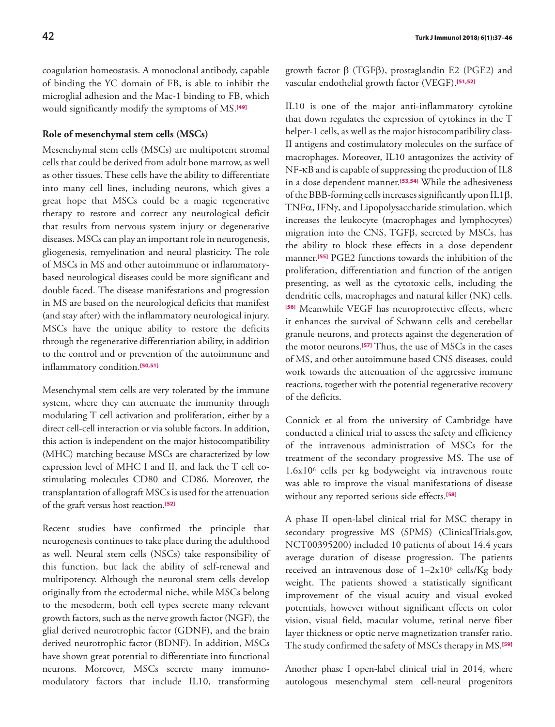coagulation homeostasis. A monoclonal antibody, capable of binding the YC domain of FB, is able to inhibit the microglial adhesion and the Mac-1 binding to FB, which would significantly modify the symptoms of MS.**[49]**

## **Role of mesenchymal stem cells (MSCs)**

Mesenchymal stem cells (MSCs) are multipotent stromal cells that could be derived from adult bone marrow, as well as other tissues. These cells have the ability to differentiate into many cell lines, including neurons, which gives a great hope that MSCs could be a magic regenerative therapy to restore and correct any neurological deficit that results from nervous system injury or degenerative diseases. MSCs can play an important role in neurogenesis, gliogenesis, remyelination and neural plasticity. The role of MSCs in MS and other autoimmune or inflammatorybased neurological diseases could be more significant and double faced. The disease manifestations and progression in MS are based on the neurological deficits that manifest (and stay after) with the inflammatory neurological injury. MSCs have the unique ability to restore the deficits through the regenerative differentiation ability, in addition to the control and or prevention of the autoimmune and inflammatory condition.**[50,51]**

Mesenchymal stem cells are very tolerated by the immune system, where they can attenuate the immunity through modulating T cell activation and proliferation, either by a direct cell-cell interaction or via soluble factors. In addition, this action is independent on the major histocompatibility (MHC) matching because MSCs are characterized by low expression level of MHC I and II, and lack the T cell costimulating molecules CD80 and CD86. Moreover, the transplantation of allograft MSCs is used for the attenuation of the graft versus host reaction.**[52]**

Recent studies have confirmed the principle that neurogenesis continues to take place during the adulthood as well. Neural stem cells (NSCs) take responsibility of this function, but lack the ability of self-renewal and multipotency. Although the neuronal stem cells develop originally from the ectodermal niche, while MSCs belong to the mesoderm, both cell types secrete many relevant growth factors, such as the nerve growth factor (NGF), the glial derived neurotrophic factor (GDNF), and the brain derived neurotrophic factor (BDNF). In addition, MSCs have shown great potential to differentiate into functional neurons. Moreover, MSCs secrete many immunomodulatory factors that include IL10, transforming growth factor β (TGFβ), prostaglandin E2 (PGE2) and vascular endothelial growth factor (VEGF).**[51,52]**

IL10 is one of the major anti-inflammatory cytokine that down regulates the expression of cytokines in the T helper-1 cells, as well as the major histocompatibility class-II antigens and costimulatory molecules on the surface of macrophages. Moreover, IL10 antagonizes the activity of NF-κB and is capable of suppressing the production of IL8 in a dose dependent manner.**[53,54]** While the adhesiveness of the BBB-forming cells increases significantly upon IL1β, TNFα, IFNγ, and Lipopolysaccharide stimulation, which increases the leukocyte (macrophages and lymphocytes) migration into the CNS, TGFβ, secreted by MSCs, has the ability to block these effects in a dose dependent manner.**[55]** PGE2 functions towards the inhibition of the proliferation, differentiation and function of the antigen presenting, as well as the cytotoxic cells, including the dendritic cells, macrophages and natural killer (NK) cells. **[56]** Meanwhile VEGF has neuroprotective effects, where it enhances the survival of Schwann cells and cerebellar granule neurons, and protects against the degeneration of the motor neurons.**[57]** Thus, the use of MSCs in the cases of MS, and other autoimmune based CNS diseases, could work towards the attenuation of the aggressive immune reactions, together with the potential regenerative recovery of the deficits.

Connick et al from the university of Cambridge have conducted a clinical trial to assess the safety and efficiency of the intravenous administration of MSCs for the treatment of the secondary progressive MS. The use of 1.6x106 cells per kg bodyweight via intravenous route was able to improve the visual manifestations of disease without any reported serious side effects.**[58]**

A phase II open-label clinical trial for MSC therapy in secondary progressive MS (SPMS) (ClinicalTrials.gov, NCT00395200) included 10 patients of about 14.4 years average duration of disease progression. The patients received an intravenous dose of 1–2x106 cells/Kg body weight. The patients showed a statistically significant improvement of the visual acuity and visual evoked potentials, however without significant effects on color vision, visual field, macular volume, retinal nerve fiber layer thickness or optic nerve magnetization transfer ratio. The study confirmed the safety of MSCs therapy in MS.**[59]**

Another phase I open-label clinical trial in 2014, where autologous mesenchymal stem cell-neural progenitors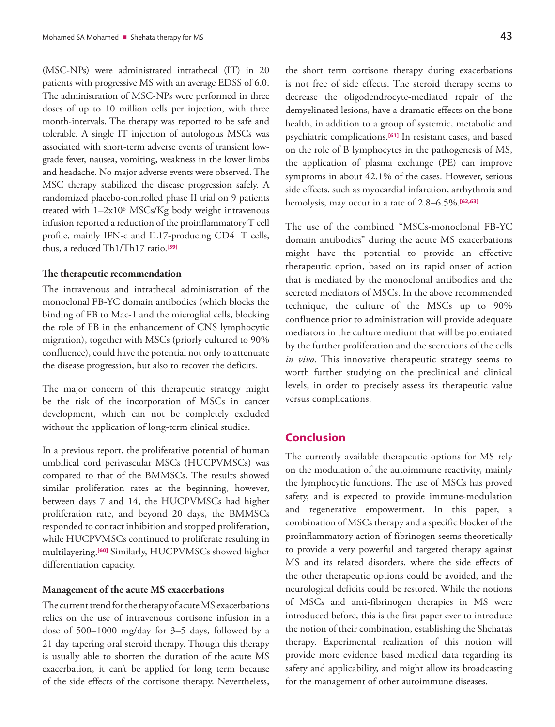(MSC-NPs) were administrated intrathecal (IT) in 20 patients with progressive MS with an average EDSS of 6.0. The administration of MSC-NPs were performed in three doses of up to 10 million cells per injection, with three month-intervals. The therapy was reported to be safe and tolerable. A single IT injection of autologous MSCs was associated with short-term adverse events of transient lowgrade fever, nausea, vomiting, weakness in the lower limbs and headache. No major adverse events were observed. The MSC therapy stabilized the disease progression safely. A randomized placebo-controlled phase II trial on 9 patients treated with 1–2x106 MSCs/Kg body weight intravenous infusion reported a reduction of the proinflammatory T cell profile, mainly IFN-c and IL17-producing CD4+ T cells, thus, a reduced Th1/Th17 ratio.**[59]**

#### **The therapeutic recommendation**

The intravenous and intrathecal administration of the monoclonal FB-YC domain antibodies (which blocks the binding of FB to Mac-1 and the microglial cells, blocking the role of FB in the enhancement of CNS lymphocytic migration), together with MSCs (priorly cultured to 90% confluence), could have the potential not only to attenuate the disease progression, but also to recover the deficits.

The major concern of this therapeutic strategy might be the risk of the incorporation of MSCs in cancer development, which can not be completely excluded without the application of long-term clinical studies.

In a previous report, the proliferative potential of human umbilical cord perivascular MSCs (HUCPVMSCs) was compared to that of the BMMSCs. The results showed similar proliferation rates at the beginning, however, between days 7 and 14, the HUCPVMSCs had higher proliferation rate, and beyond 20 days, the BMMSCs responded to contact inhibition and stopped proliferation, while HUCPVMSCs continued to proliferate resulting in multilayering.**[60]** Similarly, HUCPVMSCs showed higher differentiation capacity.

#### **Management of the acute MS exacerbations**

The current trend for the therapy of acute MS exacerbations relies on the use of intravenous cortisone infusion in a dose of 500–1000 mg/day for 3–5 days, followed by a 21 day tapering oral steroid therapy. Though this therapy is usually able to shorten the duration of the acute MS exacerbation, it can't be applied for long term because of the side effects of the cortisone therapy. Nevertheless,

the short term cortisone therapy during exacerbations is not free of side effects. The steroid therapy seems to decrease the oligodendrocyte-mediated repair of the demyelinated lesions, have a dramatic effects on the bone

health, in addition to a group of systemic, metabolic and psychiatric complications.**[61]** In resistant cases, and based on the role of B lymphocytes in the pathogenesis of MS, the application of plasma exchange (PE) can improve symptoms in about 42.1% of the cases. However, serious side effects, such as myocardial infarction, arrhythmia and hemolysis, may occur in a rate of 2.8–6.5%.**[62,63]**

The use of the combined "MSCs-monoclonal FB-YC domain antibodies" during the acute MS exacerbations might have the potential to provide an effective therapeutic option, based on its rapid onset of action that is mediated by the monoclonal antibodies and the secreted mediators of MSCs. In the above recommended technique, the culture of the MSCs up to 90% confluence prior to administration will provide adequate mediators in the culture medium that will be potentiated by the further proliferation and the secretions of the cells *in vivo*. This innovative therapeutic strategy seems to worth further studying on the preclinical and clinical levels, in order to precisely assess its therapeutic value versus complications.

# **Conclusion**

The currently available therapeutic options for MS rely on the modulation of the autoimmune reactivity, mainly the lymphocytic functions. The use of MSCs has proved safety, and is expected to provide immune-modulation and regenerative empowerment. In this paper, a combination of MSCs therapy and a specific blocker of the proinflammatory action of fibrinogen seems theoretically to provide a very powerful and targeted therapy against MS and its related disorders, where the side effects of the other therapeutic options could be avoided, and the neurological deficits could be restored. While the notions of MSCs and anti-fibrinogen therapies in MS were introduced before, this is the first paper ever to introduce the notion of their combination, establishing the Shehata's therapy. Experimental realization of this notion will provide more evidence based medical data regarding its safety and applicability, and might allow its broadcasting for the management of other autoimmune diseases.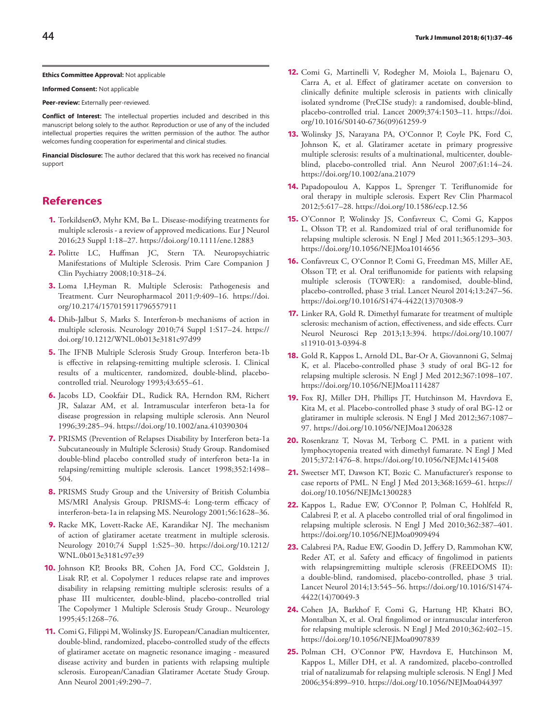#### **Ethics Committee Approval:** Not applicable

**Informed Consent:** Not applicable

**Peer-review:** Externally peer-reviewed.

**Conflict of Interest:** The intellectual properties included and described in this manuscript belong solely to the author. Reproduction or use of any of the included intellectual properties requires the written permission of the author. The author welcomes funding cooperation for experimental and clinical studies.

**Financial Disclosure:** The author declared that this work has received no financial support

## **References**

- **1.** TorkildsenØ, Myhr KM, Bø L. Disease-modifying treatments for multiple sclerosis - a review of approved medications. Eur J Neurol 2016;23 Suppl 1:18–27. https://doi.org/10.1111/ene.12883
- **2.** Politte LC, Huffman JC, Stern TA. Neuropsychiatric Manifestations of Multiple Sclerosis. Prim Care Companion J Clin Psychiatry 2008;10:318–24.
- **3.** Loma I,Heyman R. Multiple Sclerosis: Pathogenesis and Treatment. Curr Neuropharmacol 2011;9:409–16. https://doi. org/10.2174/157015911796557911
- **4.** Dhib-Jalbut S, Marks S. Interferon-b mechanisms of action in multiple sclerosis. Neurology 2010;74 Suppl 1:S17–24. https:// doi.org/10.1212/WNL.0b013e3181c97d99
- **5.** The IFNB Multiple Sclerosis Study Group. Interferon beta-1b is effective in relapsing-remitting multiple sclerosis. I. Clinical results of a multicenter, randomized, double-blind, placebocontrolled trial. Neurology 1993;43:655–61.
- **6.** Jacobs LD, Cookfair DL, Rudick RA, Herndon RM, Richert JR, Salazar AM, et al. Intramuscular interferon beta-1a for disease progression in relapsing multiple sclerosis. Ann Neurol 1996;39:285–94. https://doi.org/10.1002/ana.410390304
- **7.** PRISMS (Prevention of Relapses Disability by Interferon beta-1a Subcutaneously in Multiple Sclerosis) Study Group. Randomised double-blind placebo controlled study of interferon beta-1a in relapsing/remitting multiple sclerosis. Lancet 1998;352:1498– 504.
- **8.** PRISMS Study Group and the University of British Columbia MS/MRI Analysis Group. PRISMS-4: Long-term efficacy of interferon-beta-1a in relapsing MS. Neurology 2001;56:1628–36.
- **9.** Racke MK, Lovett-Racke AE, Karandikar NJ. The mechanism of action of glatiramer acetate treatment in multiple sclerosis. Neurology 2010;74 Suppl 1:S25–30. https://doi.org/10.1212/ WNL.0b013e3181c97e39
- **10.** Johnson KP, Brooks BR, Cohen JA, Ford CC, Goldstein J, Lisak RP, et al. Copolymer 1 reduces relapse rate and improves disability in relapsing remitting multiple sclerosis: results of a phase III multicenter, double-blind, placebo-controlled trial The Copolymer 1 Multiple Sclerosis Study Group.. Neurology 1995;45:1268–76.
- **11.** Comi G, Filippi M, Wolinsky JS. European/Canadian multicenter, double-blind, randomized, placebo-controlled study of the effects of glatiramer acetate on magnetic resonance imaging - measured disease activity and burden in patients with relapsing multiple sclerosis. European/Canadian Glatiramer Acetate Study Group. Ann Neurol 2001;49:290–7.
- **12.** Comi G, Martinelli V, Rodegher M, Moiola L, Bajenaru O, Carra A, et al. Effect of glatiramer acetate on conversion to clinically definite multiple sclerosis in patients with clinically isolated syndrome (PreCISe study): a randomised, double-blind, placebo-controlled trial. Lancet 2009;374:1503–11. https://doi. org/10.1016/S0140-6736(09)61259-9
- **13.** Wolinsky JS, Narayana PA, O'Connor P, Coyle PK, Ford C, Johnson K, et al. Glatiramer acetate in primary progressive multiple sclerosis: results of a multinational, multicenter, doubleblind, placebo-controlled trial. Ann Neurol 2007;61:14–24. https://doi.org/10.1002/ana.21079
- **14.** Papadopoulou A, Kappos L, Sprenger T. Teriflunomide for oral therapy in multiple sclerosis. Expert Rev Clin Pharmacol 2012;5:617–28. https://doi.org/10.1586/ecp.12.56
- **15.** O'Connor P, Wolinsky JS, Confavreux C, Comi G, Kappos L, Olsson TP, et al. Randomized trial of oral teriflunomide for relapsing multiple sclerosis. N Engl J Med 2011;365:1293–303. https://doi.org/10.1056/NEJMoa1014656
- **16.** Confavreux C, O'Connor P, Comi G, Freedman MS, Miller AE, Olsson TP, et al. Oral teriflunomide for patients with relapsing multiple sclerosis (TOWER): a randomised, double-blind, placebo-controlled, phase 3 trial. Lancet Neurol 2014;13:247–56. https://doi.org/10.1016/S1474-4422(13)70308-9
- **17.** Linker RA, Gold R. Dimethyl fumarate for treatment of multiple sclerosis: mechanism of action, effectiveness, and side effects. Curr Neurol Neurosci Rep 2013;13:394. https://doi.org/10.1007/ s11910-013-0394-8
- **18.** Gold R, Kappos L, Arnold DL, Bar-Or A, Giovannoni G, Selmaj K, et al. Placebo-controlled phase 3 study of oral BG-12 for relapsing multiple sclerosis. N Engl J Med 2012;367:1098–107. https://doi.org/10.1056/NEJMoa1114287
- **19.** Fox RJ, Miller DH, Phillips JT, Hutchinson M, Havrdova E, Kita M, et al. Placebo-controlled phase 3 study of oral BG-12 or glatiramer in multiple sclerosis. N Engl J Med 2012;367:1087– 97. https://doi.org/10.1056/NEJMoa1206328
- **20.** Rosenkranz T, Novas M, Terborg C. PML in a patient with lymphocytopenia treated with dimethyl fumarate. N Engl J Med 2015;372:1476–8. https://doi.org/10.1056/NEJMc1415408
- **21.** Sweetser MT, Dawson KT, Bozic C. Manufacturer's response to case reports of PML. N Engl J Med 2013;368:1659–61. https:// doi.org/10.1056/NEJMc1300283
- **22.** Kappos L, Radue EW, O'Connor P, Polman C, Hohlfeld R, Calabresi P, et al. A placebo controlled trial of oral fingolimod in relapsing multiple sclerosis. N Engl J Med 2010;362:387–401. https://doi.org/10.1056/NEJMoa0909494
- **23.** Calabresi PA, Radue EW, Goodin D, Jeffery D, Rammohan KW, Reder AT, et al. Safety and efficacy of fingolimod in patients with relapsingremitting multiple sclerosis (FREEDOMS II): a double-blind, randomised, placebo-controlled, phase 3 trial. Lancet Neurol 2014;13:545–56. https://doi.org/10.1016/S1474- 4422(14)70049-3
- **24.** Cohen JA, Barkhof F, Comi G, Hartung HP, Khatri BO, Montalban X, et al. Oral fingolimod or intramuscular interferon for relapsing multiple sclerosis. N Engl J Med 2010;362:402–15. https://doi.org/10.1056/NEJMoa0907839
- **25.** Polman CH, O'Connor PW, Havrdova E, Hutchinson M, Kappos L, Miller DH, et al. A randomized, placebo-controlled trial of natalizumab for relapsing multiple sclerosis. N Engl J Med 2006;354:899–910. https://doi.org/10.1056/NEJMoa044397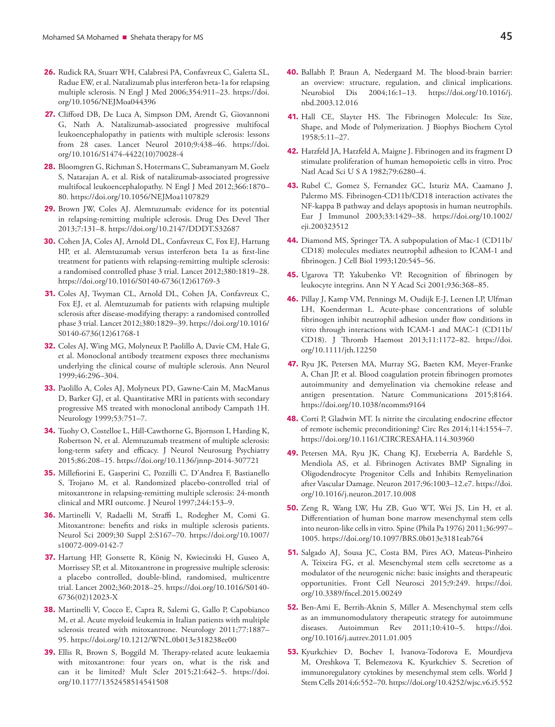- **26.** Rudick RA, Stuart WH, Calabresi PA, Confavreux C, Galetta SL, Radue EW, et al. Natalizumab plus interferon beta-1a for relapsing multiple sclerosis. N Engl J Med 2006;354:911–23. https://doi. org/10.1056/NEJMoa044396
- **27.** Clifford DB, De Luca A, Simpson DM, Arendt G, Giovannoni G, Nath A. Natalizumab-associated progressive multifocal leukoencephalopathy in patients with multiple sclerosis: lessons from 28 cases. Lancet Neurol 2010;9:438–46. https://doi. org/10.1016/S1474-4422(10)70028-4
- **28.** Bloomgren G, Richman S, Hotermans C, Subramanyam M, Goelz S, Natarajan A, et al. Risk of natalizumab-associated progressive multifocal leukoencephalopathy. N Engl J Med 2012;366:1870– 80. https://doi.org/10.1056/NEJMoa1107829
- **29.** Brown JW, Coles AJ. Alemtuzumab: evidence for its potential in relapsing-remitting multiple sclerosis. Drug Des Devel Ther 2013;7:131–8. https://doi.org/10.2147/DDDT.S32687
- **30.** Cohen JA, Coles AJ, Arnold DL, Confavreux C, Fox EJ, Hartung HP, et al. Alemtuzumab versus interferon beta 1a as first-line treatment for patients with relapsing-remitting multiple sclerosis: a randomised controlled phase 3 trial. Lancet 2012;380:1819–28. https://doi.org/10.1016/S0140-6736(12)61769-3
- **31.** Coles AJ, Twyman CL, Arnold DL, Cohen JA, Confavreux C, Fox EJ, et al. Alemtuzumab for patients with relapsing multiple sclerosis after disease-modifying therapy: a randomised controlled phase 3 trial. Lancet 2012;380:1829–39. https://doi.org/10.1016/ S0140-6736(12)61768-1
- **32.** Coles AJ, Wing MG, Molyneux P, Paolillo A, Davie CM, Hale G, et al. Monoclonal antibody treatment exposes three mechanisms underlying the clinical course of multiple sclerosis. Ann Neurol 1999;46:296–304.
- **33.** Paolillo A, Coles AJ, Molyneux PD, Gawne-Cain M, MacManus D, Barker GJ, et al. Quantitative MRI in patients with secondary progressive MS treated with monoclonal antibody Campath 1H. Neurology 1999;53:751–7.
- **34.** Tuohy O, Costelloe L, Hill-Cawthorne G, Bjornson I, Harding K, Robertson N, et al. Alemtuzumab treatment of multiple sclerosis: long-term safety and efficacy. J Neurol Neurosurg Psychiatry 2015;86:208–15. https://doi.org/10.1136/jnnp-2014-307721
- **35.** Millefiorini E, Gasperini C, Pozzilli C, D'Andrea F, Bastianello S, Trojano M, et al. Randomized placebo-controlled trial of mitoxantrone in relapsing-remitting multiple sclerosis: 24-month clinical and MRI outcome. J Neurol 1997;244:153–9.
- **36.** Martinelli V, Radaelli M, Straffi L, Rodegher M, Comi G. Mitoxantrone: benefits and risks in multiple sclerosis patients. Neurol Sci 2009;30 Suppl 2:S167–70. https://doi.org/10.1007/ s10072-009-0142-7
- **37.** Hartung HP, Gonsette R, König N, Kwiecinski H, Guseo A, Morrissey SP, et al. Mitoxantrone in progressive multiple sclerosis: a placebo controlled, double-blind, randomised, multicentre trial. Lancet 2002;360:2018–25. https://doi.org/10.1016/S0140- 6736(02)12023-X
- **38.** Martinelli V, Cocco E, Capra R, Salemi G, Gallo P, Capobianco M, et al. Acute myeloid leukemia in Italian patients with multiple sclerosis treated with mitoxantrone. Neurology 2011;77:1887– 95. https://doi.org/10.1212/WNL.0b013e318238ee00
- **39.** Ellis R, Brown S, Boggild M. Therapy-related acute leukaemia with mitoxantrone: four years on, what is the risk and can it be limited? Mult Scler 2015;21:642–5. https://doi. org/10.1177/1352458514541508
- **40.** Ballabh P, Braun A, Nedergaard M. The blood-brain barrier: an overview: structure, regulation, and clinical implications. Neurobiol Dis 2004;16:1–13. https://doi.org/10.1016/j. nbd.2003.12.016
- **41.** Hall CE, Slayter HS. The Fibrinogen Molecule: Its Size, Shape, and Mode of Polymerization. J Biophys Biochem Cytol 1958;5:11–27.
- **42.** Hatzfeld JA, Hatzfeld A, Maigne J. Fibrinogen and its fragment D stimulate proliferation of human hemopoietic cells in vitro. Proc Natl Acad Sci U S A 1982;79:6280–4.
- **43.** Rubel C, Gomez S, Fernandez GC, Isturiz MA, Caamano J, Palermo MS. Fibrinogen-CD11b/CD18 interaction activates the NF-kappa B pathway and delays apoptosis in human neutrophils. Eur J Immunol 2003;33:1429–38. https://doi.org/10.1002/ eji.200323512
- **44.** Diamond MS, Springer TA. A subpopulation of Mac-1 (CD11b/ CD18) molecules mediates neutrophil adhesion to ICAM-1 and fibrinogen. J Cell Biol 1993;120:545–56.
- **45.** Ugarova TP, Yakubenko VP. Recognition of fibrinogen by leukocyte integrins. Ann N Y Acad Sci 2001;936:368–85.
- **46.** Pillay J, Kamp VM, Pennings M, Oudijk E-J, Leenen LP, Ulfman LH, Koenderman L. Acute-phase concentrations of soluble fibrinogen inhibit neutrophil adhesion under flow conditions in vitro through interactions with ICAM-1 and MAC-1 (CD11b/ CD18). J Thromb Haemost 2013;11:1172–82. https://doi. org/10.1111/jth.12250
- **47.** Ryu JK, Petersen MA, Murray SG, Baeten KM, Meyer-Franke A, Chan JP, et al. Blood coagulation protein fibrinogen promotes autoimmunity and demyelination via chemokine release and antigen presentation. Nature Communications 2015;8164. https://doi.org/10.1038/ncomms9164
- **48.** Corti P, Gladwin MT. Is nitrite the circulating endocrine effector of remote ischemic preconditioning? Circ Res 2014;114:1554–7. https://doi.org/10.1161/CIRCRESAHA.114.303960
- **49.** Petersen MA, Ryu JK, Chang KJ, Etxeberria A, Bardehle S, Mendiola AS, et al. Fibrinogen Activates BMP Signaling in Oligodendrocyte Progenitor Cells and Inhibits Remyelination after Vascular Damage. Neuron 2017;96:1003–12.e7. https://doi. org/10.1016/j.neuron.2017.10.008
- **50.** Zeng R, Wang LW, Hu ZB, Guo WT, Wei JS, Lin H, et al. Differentiation of human bone marrow mesenchymal stem cells into neuron-like cells in vitro. Spine (Phila Pa 1976) 2011;36:997– 1005. https://doi.org/10.1097/BRS.0b013e3181eab764
- **51.** Salgado AJ, Sousa JC, Costa BM, Pires AO, Mateus-Pinheiro A, Teixeira FG, et al. Mesenchymal stem cells secretome as a modulator of the neurogenic niche: basic insights and therapeutic opportunities. Front Cell Neurosci 2015;9:249. https://doi. org/10.3389/fncel.2015.00249
- **52.** Ben-Ami E, Berrih-Aknin S, Miller A. Mesenchymal stem cells as an immunomodulatory therapeutic strategy for autoimmune diseases. Autoimmun Rev 2011;10:410–5. https://doi. org/10.1016/j.autrev.2011.01.005
- **53.** Kyurkchiev D, Bochev I, Ivanova-Todorova E, Mourdjeva M, Oreshkova T, Belemezova K, Kyurkchiev S. Secretion of immunoregulatory cytokines by mesenchymal stem cells. World J Stem Cells 2014;6:552–70. https://doi.org/10.4252/wjsc.v6.i5.552